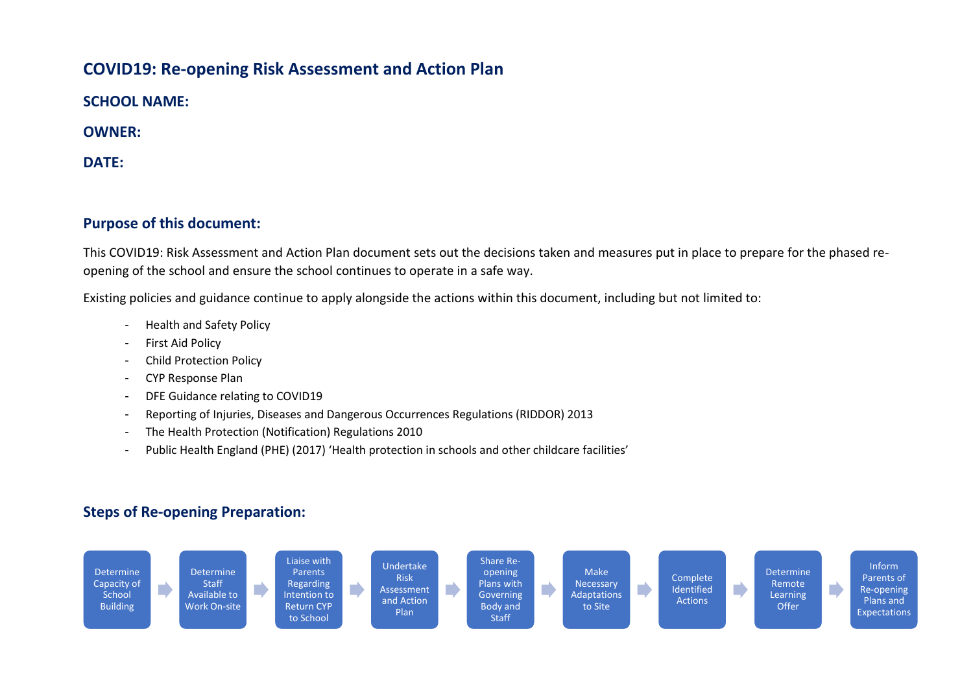## **COVID19: Re-opening Risk Assessment and Action Plan**

**SCHOOL NAME:**

**OWNER:**

**DATE:**

## **Purpose of this document:**

This COVID19: Risk Assessment and Action Plan document sets out the decisions taken and measures put in place to prepare for the phased reopening of the school and ensure the school continues to operate in a safe way.

Existing policies and guidance continue to apply alongside the actions within this document, including but not limited to:

- Health and Safety Policy
- First Aid Policy
- Child Protection Policy
- CYP Response Plan
- DFE Guidance relating to COVID19
- Reporting of Injuries, Diseases and Dangerous Occurrences Regulations (RIDDOR) 2013
- The Health Protection (Notification) Regulations 2010
- Public Health England (PHE) (2017) 'Health protection in schools and other childcare facilities'

## **Steps of Re-opening Preparation:**

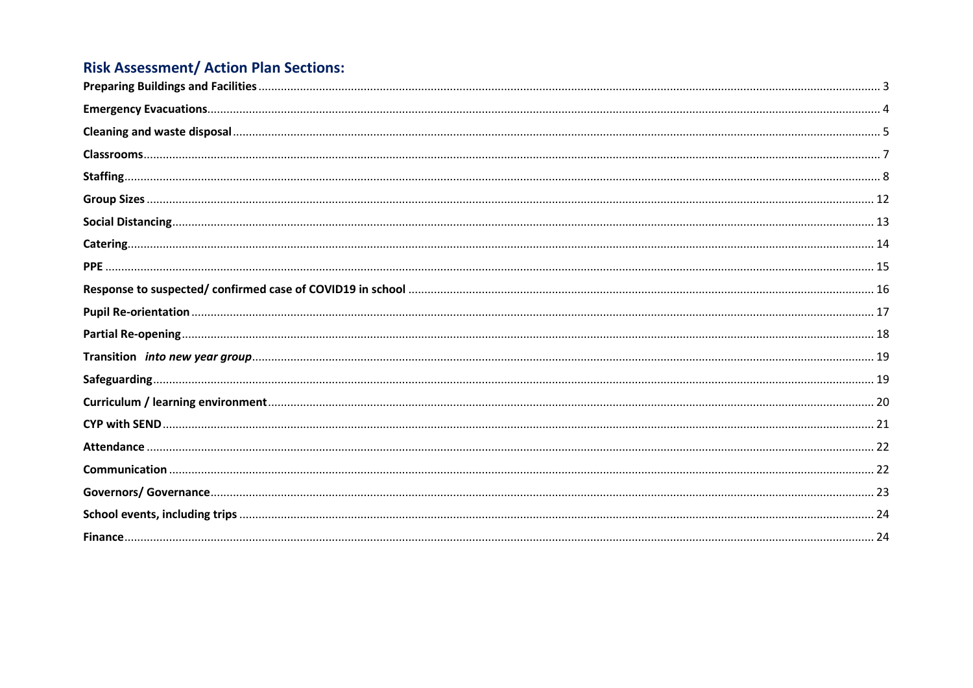## **Risk Assessment/ Action Plan Sections:**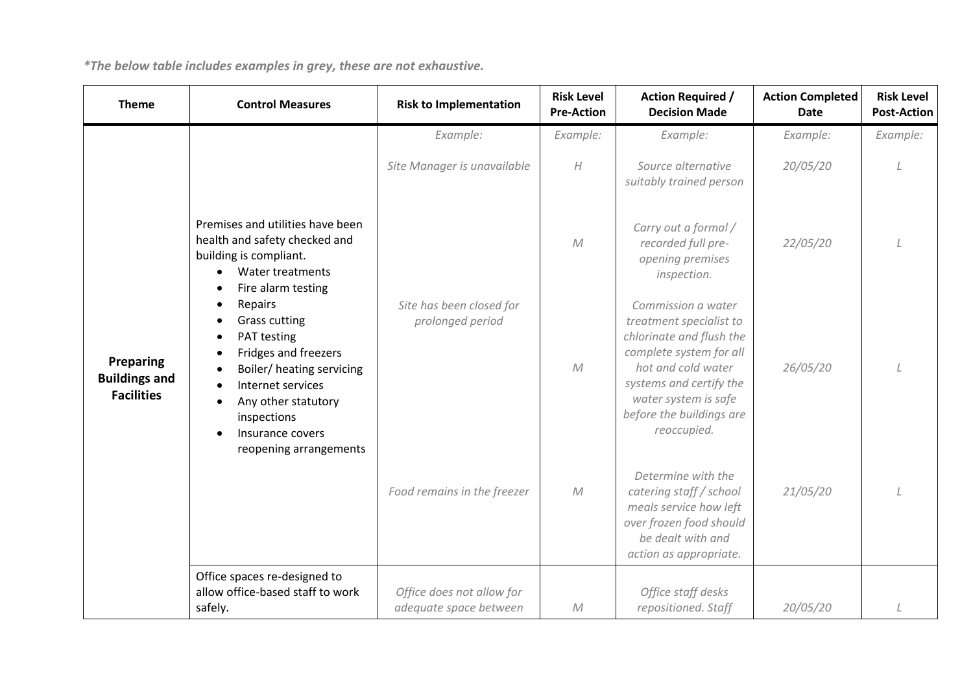<span id="page-2-0"></span>

| <b>Theme</b>                                           | <b>Control Measures</b>                                                                                                                                                                                      | <b>Risk to Implementation</b>                       | <b>Risk Level</b><br><b>Pre-Action</b> | <b>Action Required /</b><br><b>Decision Made</b>                                                                                                                                                                         | <b>Action Completed</b><br>Date | <b>Risk Level</b><br><b>Post-Action</b> |
|--------------------------------------------------------|--------------------------------------------------------------------------------------------------------------------------------------------------------------------------------------------------------------|-----------------------------------------------------|----------------------------------------|--------------------------------------------------------------------------------------------------------------------------------------------------------------------------------------------------------------------------|---------------------------------|-----------------------------------------|
|                                                        |                                                                                                                                                                                                              | Example:                                            | Example:                               | Example:                                                                                                                                                                                                                 | Example:                        | Example:                                |
| Preparing<br><b>Buildings and</b><br><b>Facilities</b> |                                                                                                                                                                                                              | Site Manager is unavailable                         | $\boldsymbol{H}$                       | Source alternative<br>suitably trained person                                                                                                                                                                            | 20/05/20                        |                                         |
|                                                        | Premises and utilities have been<br>health and safety checked and<br>building is compliant.<br>Water treatments<br>Fire alarm testing                                                                        |                                                     | ${\cal M}$                             | Carry out a formal /<br>recorded full pre-<br>opening premises<br>inspection.                                                                                                                                            | 22/05/20                        |                                         |
|                                                        | Repairs<br><b>Grass cutting</b><br>PAT testing<br>Fridges and freezers<br>Boiler/ heating servicing<br>Internet services<br>Any other statutory<br>inspections<br>Insurance covers<br>reopening arrangements | Site has been closed for<br>prolonged period        | $\mathcal M$                           | Commission a water<br>treatment specialist to<br>chlorinate and flush the<br>complete system for all<br>hot and cold water<br>systems and certify the<br>water system is safe<br>before the buildings are<br>reoccupied. | 26/05/20                        |                                         |
|                                                        |                                                                                                                                                                                                              | Food remains in the freezer                         | M                                      | Determine with the<br>catering staff / school<br>meals service how left<br>over frozen food should<br>be dealt with and<br>action as appropriate.                                                                        | 21/05/20                        |                                         |
|                                                        | Office spaces re-designed to<br>allow office-based staff to work<br>safely.                                                                                                                                  | Office does not allow for<br>adequate space between | ${\cal M}$                             | Office staff desks<br>repositioned. Staff                                                                                                                                                                                | 20/05/20                        |                                         |

*\*The below table includes examples in grey, these are not exhaustive.*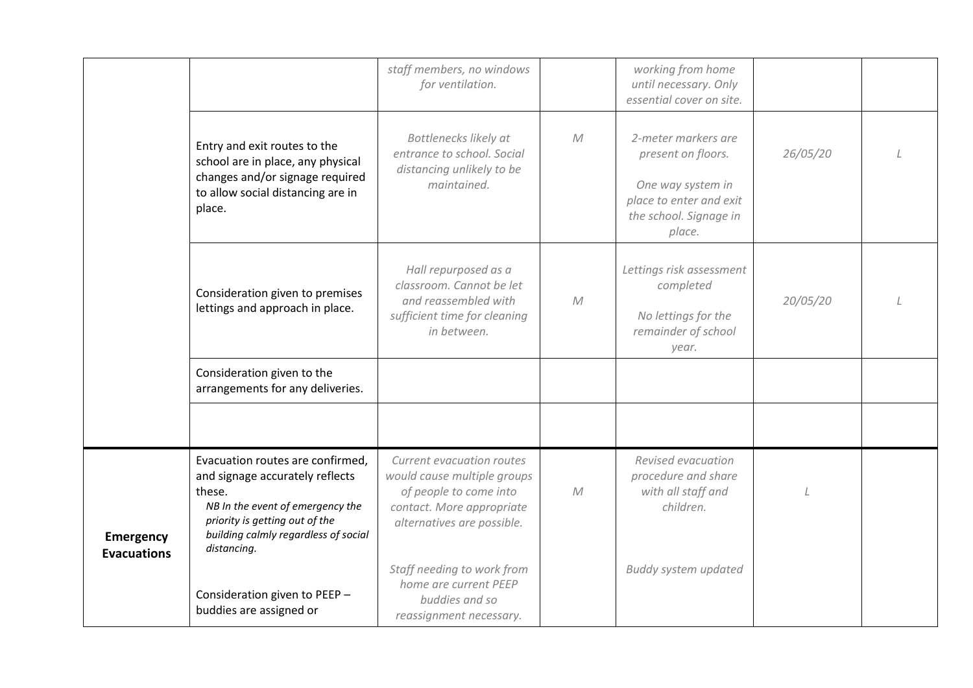<span id="page-3-0"></span>

|                                 |                                                                                                                                                                                                            | staff members, no windows<br>for ventilation.                                                                                                 |              | working from home<br>until necessary. Only<br>essential cover on site.                                                        |          |  |
|---------------------------------|------------------------------------------------------------------------------------------------------------------------------------------------------------------------------------------------------------|-----------------------------------------------------------------------------------------------------------------------------------------------|--------------|-------------------------------------------------------------------------------------------------------------------------------|----------|--|
|                                 | Entry and exit routes to the<br>school are in place, any physical<br>changes and/or signage required<br>to allow social distancing are in<br>place.                                                        | Bottlenecks likely at<br>entrance to school. Social<br>distancing unlikely to be<br>maintained.                                               | M            | 2-meter markers are<br>present on floors.<br>One way system in<br>place to enter and exit<br>the school. Signage in<br>place. | 26/05/20 |  |
|                                 | Consideration given to premises<br>lettings and approach in place.                                                                                                                                         | Hall repurposed as a<br>classroom. Cannot be let<br>and reassembled with<br>sufficient time for cleaning<br>in between.                       | ${\cal M}$   | Lettings risk assessment<br>completed<br>No lettings for the<br>remainder of school<br>year.                                  | 20/05/20 |  |
|                                 | Consideration given to the<br>arrangements for any deliveries.                                                                                                                                             |                                                                                                                                               |              |                                                                                                                               |          |  |
|                                 |                                                                                                                                                                                                            |                                                                                                                                               |              |                                                                                                                               |          |  |
| Emergency<br><b>Evacuations</b> | Evacuation routes are confirmed,<br>and signage accurately reflects<br>these.<br>NB In the event of emergency the<br>priority is getting out of the<br>building calmly regardless of social<br>distancing. | Current evacuation routes<br>would cause multiple groups<br>of people to come into<br>contact. More appropriate<br>alternatives are possible. | $\mathcal M$ | Revised evacuation<br>procedure and share<br>with all staff and<br>children.                                                  |          |  |
|                                 | Consideration given to PEEP -<br>buddies are assigned or                                                                                                                                                   | Staff needing to work from<br>home are current PEEP<br>buddies and so<br>reassignment necessary.                                              |              | <b>Buddy system updated</b>                                                                                                   |          |  |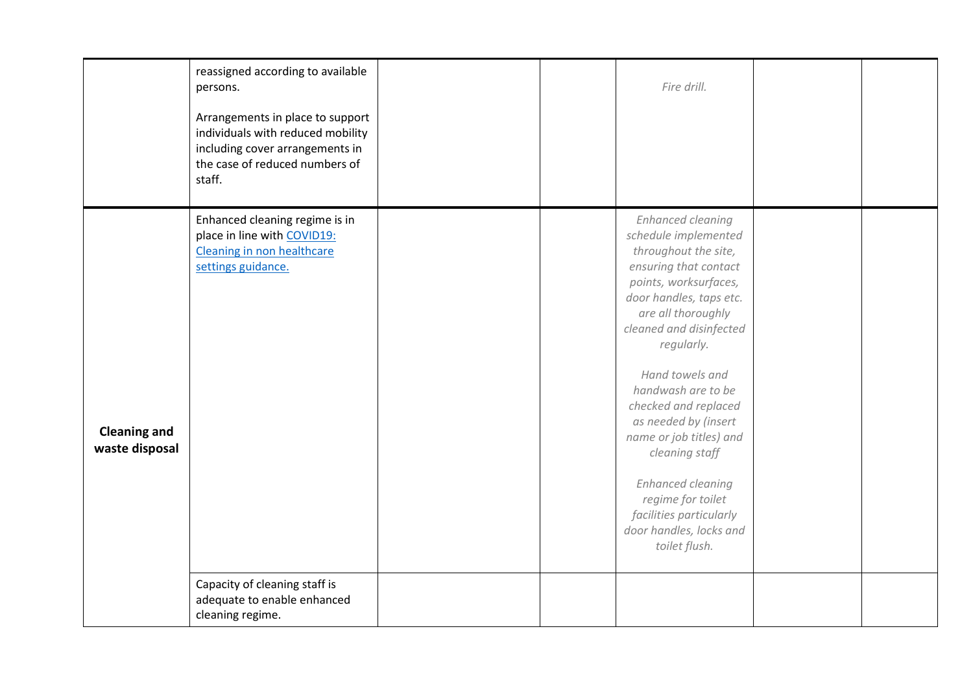<span id="page-4-0"></span>

|                                       | reassigned according to available<br>persons.<br>Arrangements in place to support<br>individuals with reduced mobility<br>including cover arrangements in<br>the case of reduced numbers of<br>staff. |  | Fire drill.                                                                                                                                                                                                                                                                                                                                                                                                                                                                        |  |
|---------------------------------------|-------------------------------------------------------------------------------------------------------------------------------------------------------------------------------------------------------|--|------------------------------------------------------------------------------------------------------------------------------------------------------------------------------------------------------------------------------------------------------------------------------------------------------------------------------------------------------------------------------------------------------------------------------------------------------------------------------------|--|
| <b>Cleaning and</b><br>waste disposal | Enhanced cleaning regime is in<br>place in line with COVID19:<br>Cleaning in non healthcare<br>settings guidance.                                                                                     |  | <b>Enhanced cleaning</b><br>schedule implemented<br>throughout the site,<br>ensuring that contact<br>points, worksurfaces,<br>door handles, taps etc.<br>are all thoroughly<br>cleaned and disinfected<br>regularly.<br>Hand towels and<br>handwash are to be<br>checked and replaced<br>as needed by (insert<br>name or job titles) and<br>cleaning staff<br><b>Enhanced cleaning</b><br>regime for toilet<br>facilities particularly<br>door handles, locks and<br>toilet flush. |  |
|                                       | Capacity of cleaning staff is<br>adequate to enable enhanced<br>cleaning regime.                                                                                                                      |  |                                                                                                                                                                                                                                                                                                                                                                                                                                                                                    |  |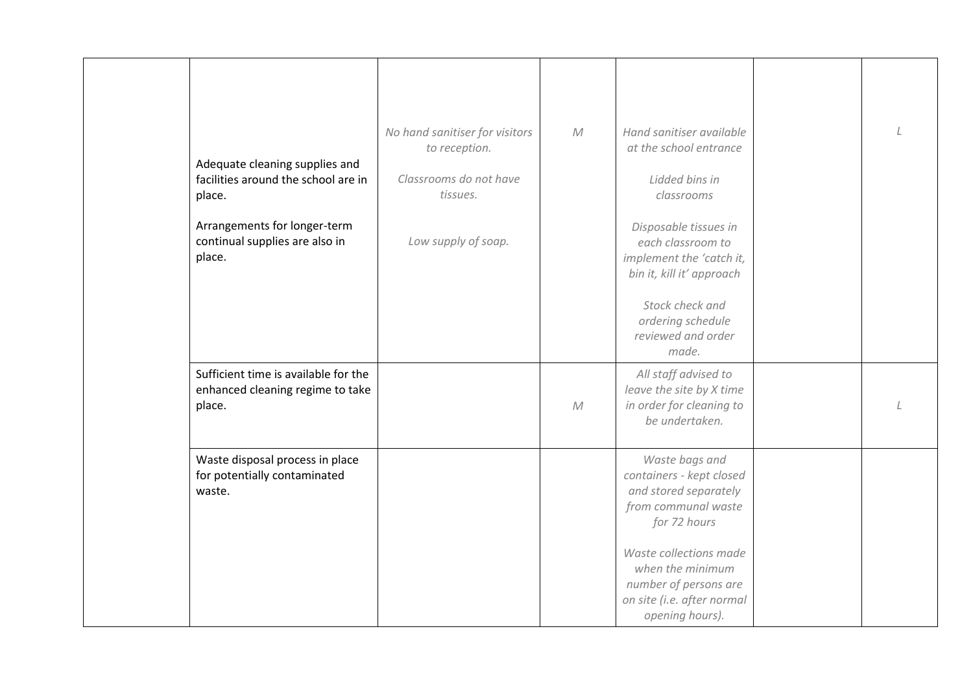| Adequate cleaning supplies and<br>facilities around the school are in<br>place.<br>Arrangements for longer-term<br>continual supplies are also in<br>place. | No hand sanitiser for visitors<br>to reception.<br>Classrooms do not have<br>tissues.<br>Low supply of soap. | ${\cal M}$ | Hand sanitiser available<br>at the school entrance<br>Lidded bins in<br>classrooms<br>Disposable tissues in<br>each classroom to<br>implement the 'catch it,<br>bin it, kill it' approach<br>Stock check and<br>ordering schedule<br>reviewed and order<br>made. |  |
|-------------------------------------------------------------------------------------------------------------------------------------------------------------|--------------------------------------------------------------------------------------------------------------|------------|------------------------------------------------------------------------------------------------------------------------------------------------------------------------------------------------------------------------------------------------------------------|--|
| Sufficient time is available for the<br>enhanced cleaning regime to take<br>place.                                                                          |                                                                                                              | ${\cal M}$ | All staff advised to<br>leave the site by X time<br>in order for cleaning to<br>be undertaken.                                                                                                                                                                   |  |
| Waste disposal process in place<br>for potentially contaminated<br>waste.                                                                                   |                                                                                                              |            | Waste bags and<br>containers - kept closed<br>and stored separately<br>from communal waste<br>for 72 hours<br>Waste collections made<br>when the minimum<br>number of persons are<br>on site (i.e. after normal<br>opening hours).                               |  |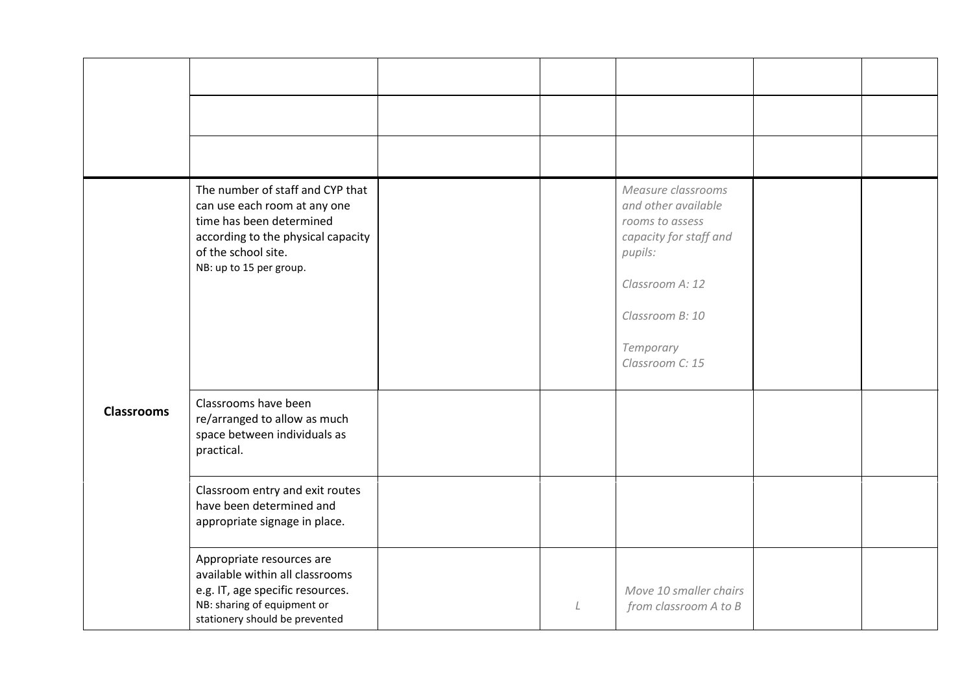<span id="page-6-0"></span>

|                   | The number of staff and CYP that<br>can use each room at any one<br>time has been determined<br>according to the physical capacity<br>of the school site.<br>NB: up to 15 per group. |         | Measure classrooms<br>and other available<br>rooms to assess<br>capacity for staff and<br>pupils:<br>Classroom A: 12<br>Classroom B: 10<br>Temporary<br>Classroom C: 15 |  |
|-------------------|--------------------------------------------------------------------------------------------------------------------------------------------------------------------------------------|---------|-------------------------------------------------------------------------------------------------------------------------------------------------------------------------|--|
| <b>Classrooms</b> | Classrooms have been<br>re/arranged to allow as much<br>space between individuals as<br>practical.                                                                                   |         |                                                                                                                                                                         |  |
|                   | Classroom entry and exit routes<br>have been determined and<br>appropriate signage in place.                                                                                         |         |                                                                                                                                                                         |  |
|                   | Appropriate resources are<br>available within all classrooms<br>e.g. IT, age specific resources.<br>NB: sharing of equipment or<br>stationery should be prevented                    | $\perp$ | Move 10 smaller chairs<br>from classroom A to B                                                                                                                         |  |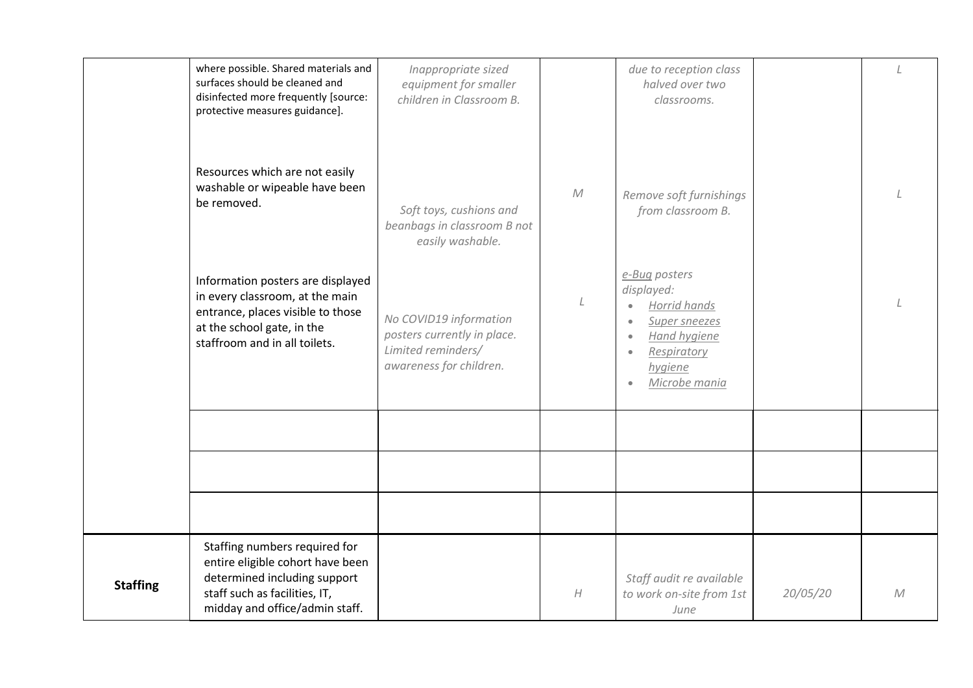<span id="page-7-0"></span>

|                 | where possible. Shared materials and<br>surfaces should be cleaned and<br>disinfected more frequently [source:<br>protective measures guidance].                         | Inappropriate sized<br>equipment for smaller<br>children in Classroom B.                               |                  | due to reception class<br>halved over two<br>classrooms.                                                                |          |   |
|-----------------|--------------------------------------------------------------------------------------------------------------------------------------------------------------------------|--------------------------------------------------------------------------------------------------------|------------------|-------------------------------------------------------------------------------------------------------------------------|----------|---|
|                 | Resources which are not easily<br>washable or wipeable have been<br>be removed.                                                                                          | Soft toys, cushions and<br>beanbags in classroom B not<br>easily washable.                             | ${\cal M}$       | Remove soft furnishings<br>from classroom B.                                                                            |          |   |
|                 | Information posters are displayed<br>in every classroom, at the main<br>entrance, places visible to those<br>at the school gate, in the<br>staffroom and in all toilets. | No COVID19 information<br>posters currently in place.<br>Limited reminders/<br>awareness for children. |                  | e-Bug posters<br>displayed:<br>Horrid hands<br>Super sneezes<br>Hand hygiene<br>Respiratory<br>hygiene<br>Microbe mania |          |   |
|                 |                                                                                                                                                                          |                                                                                                        |                  |                                                                                                                         |          |   |
|                 |                                                                                                                                                                          |                                                                                                        |                  |                                                                                                                         |          |   |
|                 |                                                                                                                                                                          |                                                                                                        |                  |                                                                                                                         |          |   |
| <b>Staffing</b> | Staffing numbers required for<br>entire eligible cohort have been<br>determined including support<br>staff such as facilities, IT,<br>midday and office/admin staff.     |                                                                                                        | $\boldsymbol{H}$ | Staff audit re available<br>to work on-site from 1st<br>June                                                            | 20/05/20 | M |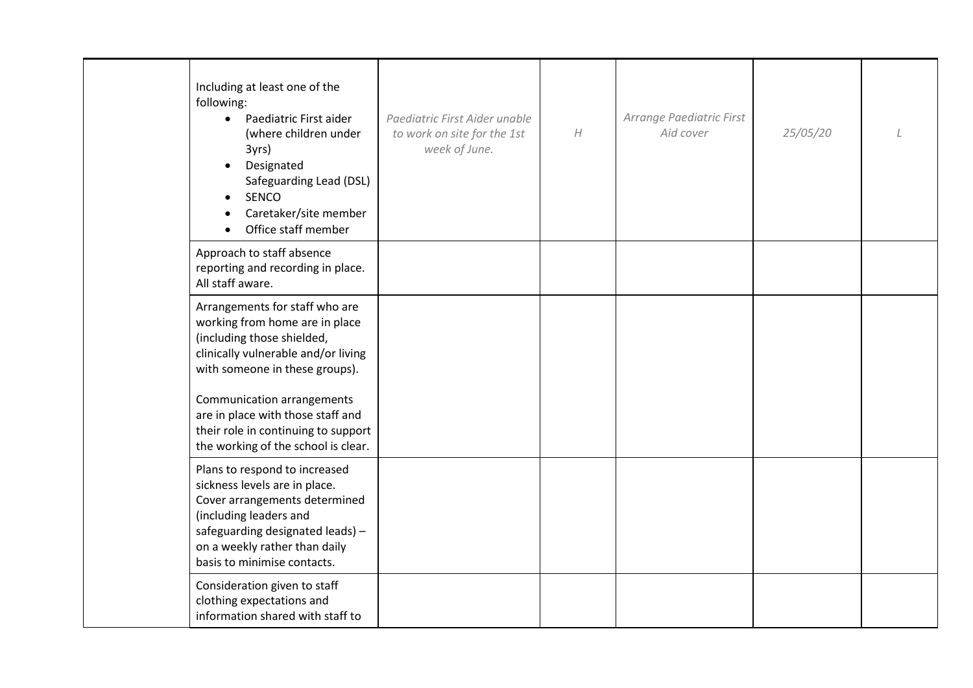| Including at least one of the<br>following:<br>• Paediatric First aider<br>(where children under<br>3yrs)<br>Designated<br>Safeguarding Lead (DSL)<br><b>SENCO</b><br>Caretaker/site member<br>Office staff member            | Paediatric First Aider unable<br>to work on site for the 1st<br>week of June. | $\boldsymbol{H}$ | Arrange Paediatric First<br>Aid cover | 25/05/20 |  |
|-------------------------------------------------------------------------------------------------------------------------------------------------------------------------------------------------------------------------------|-------------------------------------------------------------------------------|------------------|---------------------------------------|----------|--|
| Approach to staff absence<br>reporting and recording in place.<br>All staff aware.                                                                                                                                            |                                                                               |                  |                                       |          |  |
| Arrangements for staff who are<br>working from home are in place<br>(including those shielded,<br>clinically vulnerable and/or living<br>with someone in these groups).                                                       |                                                                               |                  |                                       |          |  |
| Communication arrangements<br>are in place with those staff and<br>their role in continuing to support<br>the working of the school is clear.                                                                                 |                                                                               |                  |                                       |          |  |
| Plans to respond to increased<br>sickness levels are in place.<br>Cover arrangements determined<br>(including leaders and<br>safeguarding designated leads) -<br>on a weekly rather than daily<br>basis to minimise contacts. |                                                                               |                  |                                       |          |  |
| Consideration given to staff<br>clothing expectations and<br>information shared with staff to                                                                                                                                 |                                                                               |                  |                                       |          |  |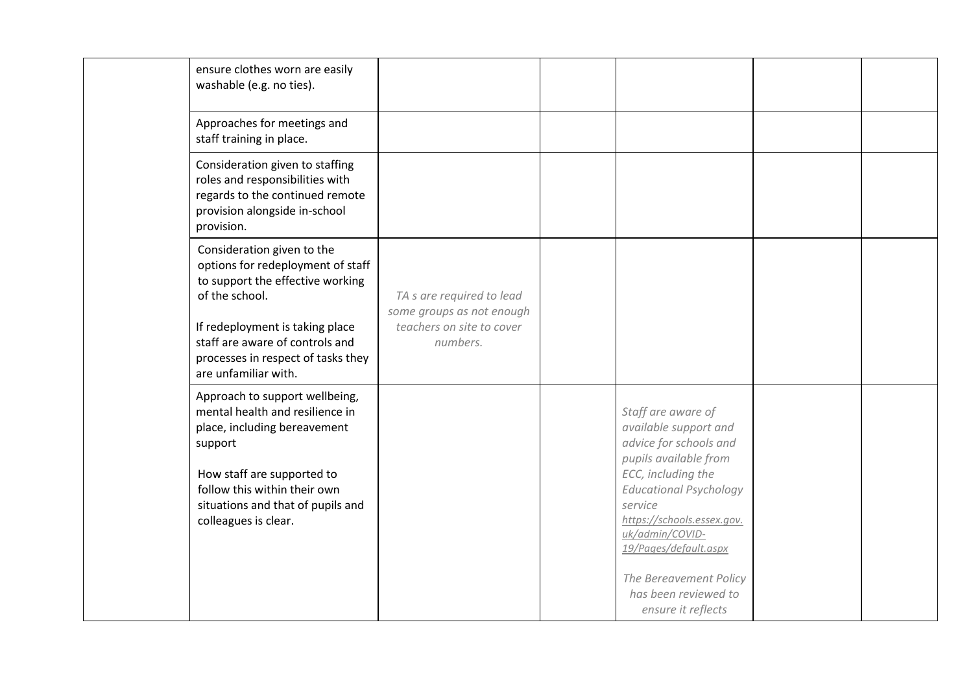| ensure clothes worn are easily<br>washable (e.g. no ties).                                                                                                                                                                                                |                                                                                                 |                                                                                                                                                                                                                                                                                                                    |  |
|-----------------------------------------------------------------------------------------------------------------------------------------------------------------------------------------------------------------------------------------------------------|-------------------------------------------------------------------------------------------------|--------------------------------------------------------------------------------------------------------------------------------------------------------------------------------------------------------------------------------------------------------------------------------------------------------------------|--|
| Approaches for meetings and<br>staff training in place.                                                                                                                                                                                                   |                                                                                                 |                                                                                                                                                                                                                                                                                                                    |  |
| Consideration given to staffing<br>roles and responsibilities with<br>regards to the continued remote<br>provision alongside in-school<br>provision.                                                                                                      |                                                                                                 |                                                                                                                                                                                                                                                                                                                    |  |
| Consideration given to the<br>options for redeployment of staff<br>to support the effective working<br>of the school.<br>If redeployment is taking place<br>staff are aware of controls and<br>processes in respect of tasks they<br>are unfamiliar with. | TA s are required to lead<br>some groups as not enough<br>teachers on site to cover<br>numbers. |                                                                                                                                                                                                                                                                                                                    |  |
| Approach to support wellbeing,<br>mental health and resilience in<br>place, including bereavement<br>support<br>How staff are supported to<br>follow this within their own<br>situations and that of pupils and<br>colleagues is clear.                   |                                                                                                 | Staff are aware of<br>available support and<br>advice for schools and<br>pupils available from<br>ECC, including the<br><b>Educational Psychology</b><br>service<br>https://schools.essex.gov.<br>uk/admin/COVID-<br>19/Pages/default.aspx<br>The Bereavement Policy<br>has been reviewed to<br>ensure it reflects |  |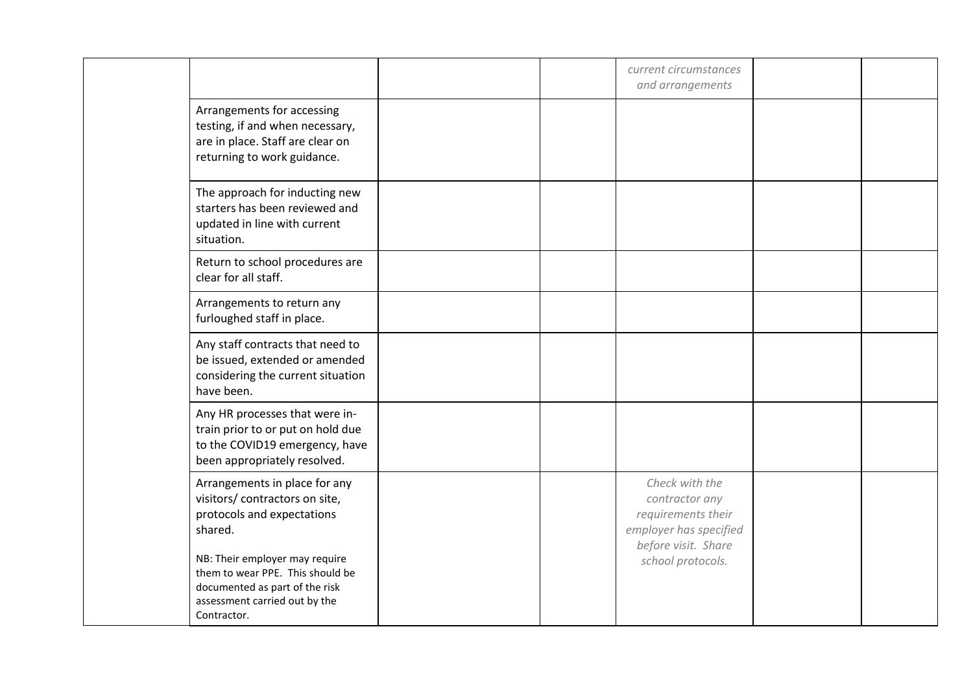|                                                                                                                                                                                                                                                                  |  | current circumstances<br>and arrangements                                                                                    |  |
|------------------------------------------------------------------------------------------------------------------------------------------------------------------------------------------------------------------------------------------------------------------|--|------------------------------------------------------------------------------------------------------------------------------|--|
| Arrangements for accessing<br>testing, if and when necessary,<br>are in place. Staff are clear on<br>returning to work guidance.                                                                                                                                 |  |                                                                                                                              |  |
| The approach for inducting new<br>starters has been reviewed and<br>updated in line with current<br>situation.                                                                                                                                                   |  |                                                                                                                              |  |
| Return to school procedures are<br>clear for all staff.                                                                                                                                                                                                          |  |                                                                                                                              |  |
| Arrangements to return any<br>furloughed staff in place.                                                                                                                                                                                                         |  |                                                                                                                              |  |
| Any staff contracts that need to<br>be issued, extended or amended<br>considering the current situation<br>have been.                                                                                                                                            |  |                                                                                                                              |  |
| Any HR processes that were in-<br>train prior to or put on hold due<br>to the COVID19 emergency, have<br>been appropriately resolved.                                                                                                                            |  |                                                                                                                              |  |
| Arrangements in place for any<br>visitors/ contractors on site,<br>protocols and expectations<br>shared.<br>NB: Their employer may require<br>them to wear PPE. This should be<br>documented as part of the risk<br>assessment carried out by the<br>Contractor. |  | Check with the<br>contractor any<br>requirements their<br>employer has specified<br>before visit. Share<br>school protocols. |  |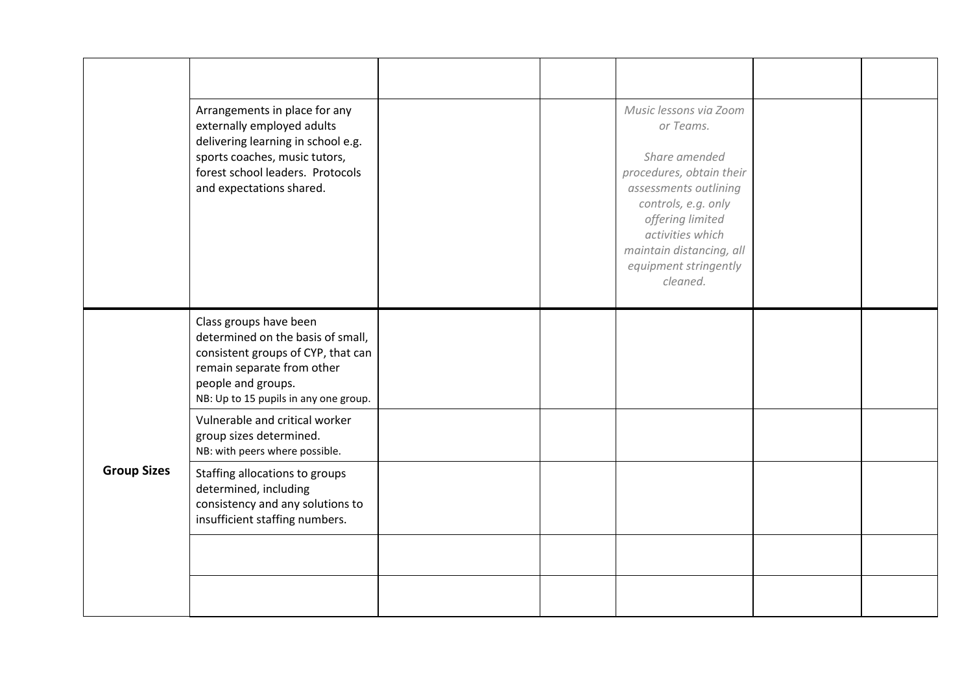<span id="page-11-0"></span>

|                    | Arrangements in place for any<br>externally employed adults<br>delivering learning in school e.g.<br>sports coaches, music tutors,<br>forest school leaders. Protocols<br>and expectations shared. |  | Music lessons via Zoom<br>or Teams.<br>Share amended<br>procedures, obtain their<br>assessments outlining<br>controls, e.g. only<br>offering limited<br>activities which<br>maintain distancing, all<br>equipment stringently<br>cleaned. |  |
|--------------------|----------------------------------------------------------------------------------------------------------------------------------------------------------------------------------------------------|--|-------------------------------------------------------------------------------------------------------------------------------------------------------------------------------------------------------------------------------------------|--|
| <b>Group Sizes</b> | Class groups have been<br>determined on the basis of small,<br>consistent groups of CYP, that can<br>remain separate from other<br>people and groups.<br>NB: Up to 15 pupils in any one group.     |  |                                                                                                                                                                                                                                           |  |
|                    | Vulnerable and critical worker<br>group sizes determined.<br>NB: with peers where possible.                                                                                                        |  |                                                                                                                                                                                                                                           |  |
|                    | Staffing allocations to groups<br>determined, including<br>consistency and any solutions to<br>insufficient staffing numbers.                                                                      |  |                                                                                                                                                                                                                                           |  |
|                    |                                                                                                                                                                                                    |  |                                                                                                                                                                                                                                           |  |
|                    |                                                                                                                                                                                                    |  |                                                                                                                                                                                                                                           |  |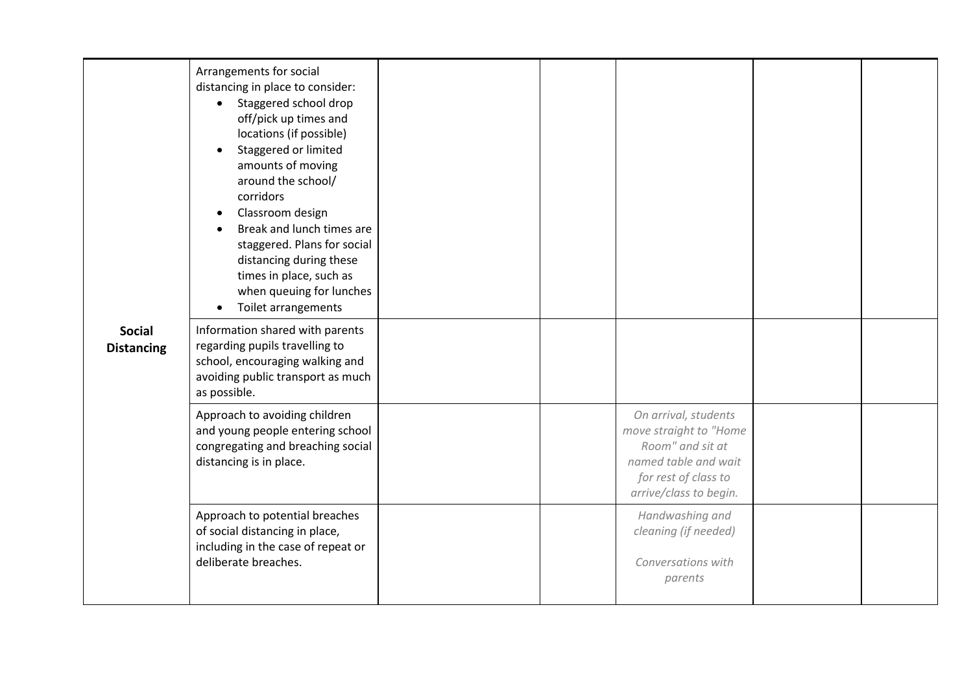<span id="page-12-0"></span>

| <b>Social</b><br><b>Distancing</b> | Arrangements for social<br>distancing in place to consider:<br>Staggered school drop<br>$\bullet$<br>off/pick up times and<br>locations (if possible)<br>Staggered or limited<br>amounts of moving<br>around the school/<br>corridors<br>Classroom design<br>Break and lunch times are<br>staggered. Plans for social<br>distancing during these<br>times in place, such as<br>when queuing for lunches<br><b>Toilet arrangements</b> |  |                                                                                                                                              |  |
|------------------------------------|---------------------------------------------------------------------------------------------------------------------------------------------------------------------------------------------------------------------------------------------------------------------------------------------------------------------------------------------------------------------------------------------------------------------------------------|--|----------------------------------------------------------------------------------------------------------------------------------------------|--|
|                                    | Information shared with parents<br>regarding pupils travelling to<br>school, encouraging walking and<br>avoiding public transport as much<br>as possible.                                                                                                                                                                                                                                                                             |  |                                                                                                                                              |  |
|                                    | Approach to avoiding children<br>and young people entering school<br>congregating and breaching social<br>distancing is in place.                                                                                                                                                                                                                                                                                                     |  | On arrival, students<br>move straight to "Home<br>Room" and sit at<br>named table and wait<br>for rest of class to<br>arrive/class to begin. |  |
|                                    | Approach to potential breaches<br>of social distancing in place,<br>including in the case of repeat or<br>deliberate breaches.                                                                                                                                                                                                                                                                                                        |  | Handwashing and<br>cleaning (if needed)<br>Conversations with<br>parents                                                                     |  |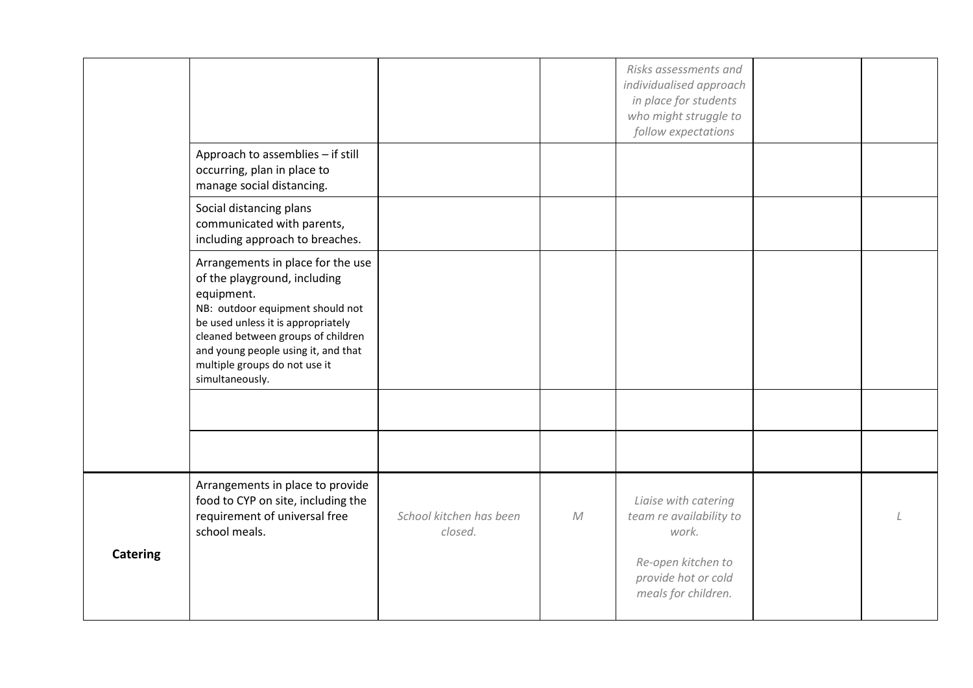<span id="page-13-0"></span>

|                 |                                                                                                                                                                                                                                                                                            |                                    |   | Risks assessments and<br>individualised approach<br>in place for students<br>who might struggle to<br>follow expectations |  |
|-----------------|--------------------------------------------------------------------------------------------------------------------------------------------------------------------------------------------------------------------------------------------------------------------------------------------|------------------------------------|---|---------------------------------------------------------------------------------------------------------------------------|--|
|                 | Approach to assemblies - if still<br>occurring, plan in place to<br>manage social distancing.                                                                                                                                                                                              |                                    |   |                                                                                                                           |  |
|                 | Social distancing plans<br>communicated with parents,<br>including approach to breaches.                                                                                                                                                                                                   |                                    |   |                                                                                                                           |  |
|                 | Arrangements in place for the use<br>of the playground, including<br>equipment.<br>NB: outdoor equipment should not<br>be used unless it is appropriately<br>cleaned between groups of children<br>and young people using it, and that<br>multiple groups do not use it<br>simultaneously. |                                    |   |                                                                                                                           |  |
|                 |                                                                                                                                                                                                                                                                                            |                                    |   |                                                                                                                           |  |
|                 |                                                                                                                                                                                                                                                                                            |                                    |   |                                                                                                                           |  |
|                 | Arrangements in place to provide<br>food to CYP on site, including the<br>requirement of universal free<br>school meals.                                                                                                                                                                   | School kitchen has been<br>closed. | M | Liaise with catering<br>team re availability to<br>work.                                                                  |  |
| <b>Catering</b> |                                                                                                                                                                                                                                                                                            |                                    |   | Re-open kitchen to<br>provide hot or cold<br>meals for children.                                                          |  |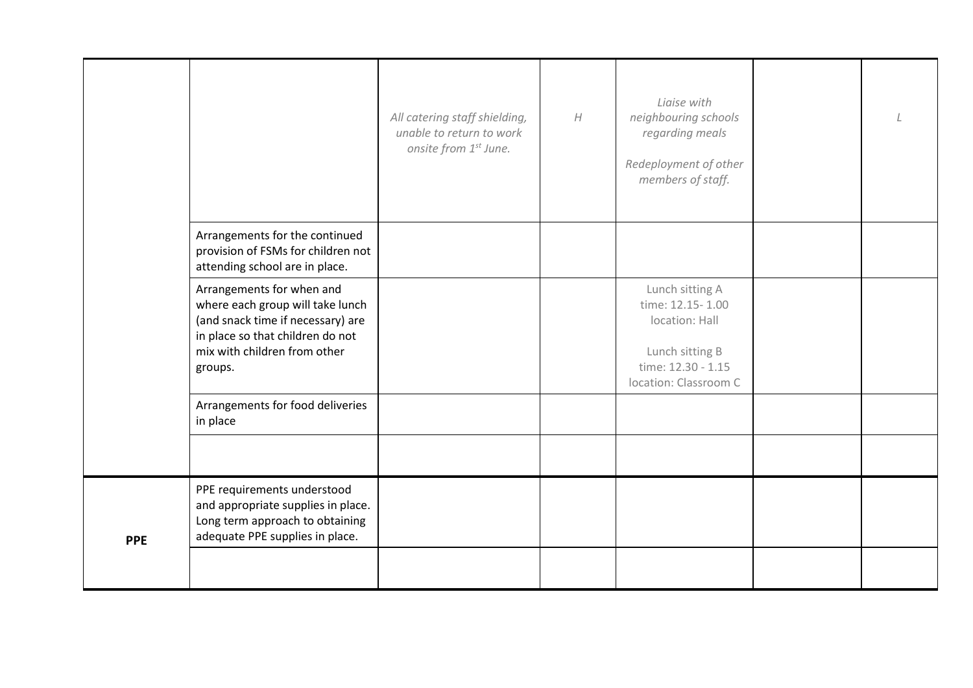<span id="page-14-0"></span>

|            |                                                                                                                                                                                   | All catering staff shielding,<br>unable to return to work<br>onsite from 1st June. | H | Ligise with<br>neighbouring schools<br>regarding meals<br>Redeployment of other<br>members of staff.                    |  |
|------------|-----------------------------------------------------------------------------------------------------------------------------------------------------------------------------------|------------------------------------------------------------------------------------|---|-------------------------------------------------------------------------------------------------------------------------|--|
|            | Arrangements for the continued<br>provision of FSMs for children not<br>attending school are in place.                                                                            |                                                                                    |   |                                                                                                                         |  |
|            | Arrangements for when and<br>where each group will take lunch<br>(and snack time if necessary) are<br>in place so that children do not<br>mix with children from other<br>groups. |                                                                                    |   | Lunch sitting A<br>time: 12.15-1.00<br>location: Hall<br>Lunch sitting B<br>time: 12.30 - 1.15<br>location: Classroom C |  |
|            | Arrangements for food deliveries<br>in place                                                                                                                                      |                                                                                    |   |                                                                                                                         |  |
|            |                                                                                                                                                                                   |                                                                                    |   |                                                                                                                         |  |
| <b>PPE</b> | PPE requirements understood<br>and appropriate supplies in place.<br>Long term approach to obtaining<br>adequate PPE supplies in place.                                           |                                                                                    |   |                                                                                                                         |  |
|            |                                                                                                                                                                                   |                                                                                    |   |                                                                                                                         |  |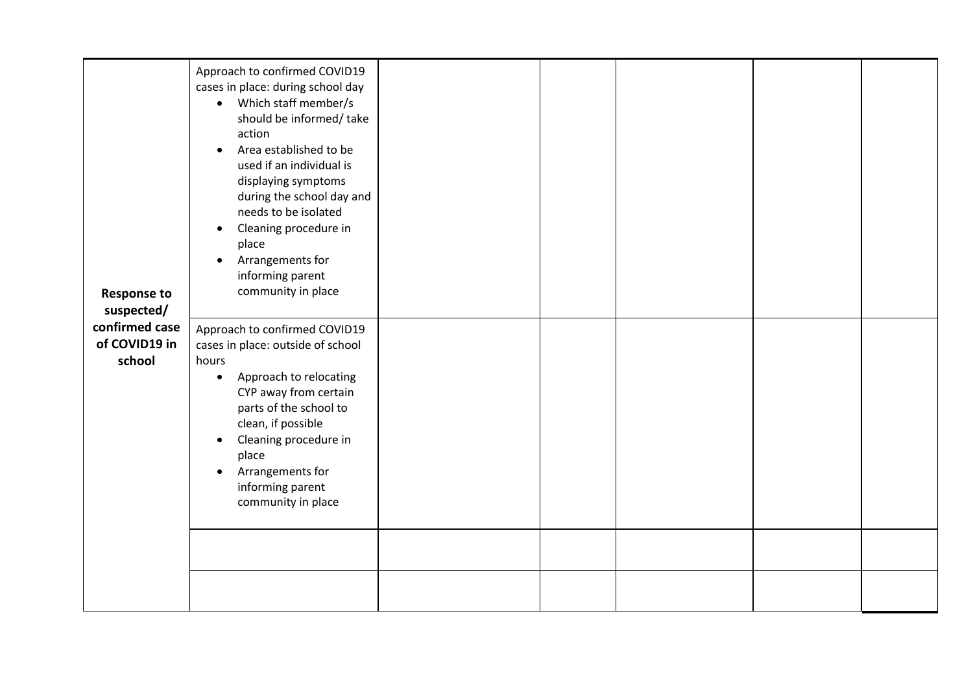<span id="page-15-0"></span>

| <b>Response to</b><br>suspected/          | Approach to confirmed COVID19<br>cases in place: during school day<br>• Which staff member/s<br>should be informed/take<br>action<br>Area established to be<br>$\bullet$<br>used if an individual is<br>displaying symptoms<br>during the school day and<br>needs to be isolated<br>Cleaning procedure in<br>$\bullet$<br>place<br>Arrangements for<br>$\bullet$<br>informing parent<br>community in place |  |  |  |
|-------------------------------------------|------------------------------------------------------------------------------------------------------------------------------------------------------------------------------------------------------------------------------------------------------------------------------------------------------------------------------------------------------------------------------------------------------------|--|--|--|
| confirmed case<br>of COVID19 in<br>school | Approach to confirmed COVID19<br>cases in place: outside of school<br>hours<br>Approach to relocating<br>$\bullet$<br>CYP away from certain<br>parts of the school to<br>clean, if possible<br>Cleaning procedure in<br>$\bullet$<br>place<br>Arrangements for<br>$\bullet$<br>informing parent<br>community in place                                                                                      |  |  |  |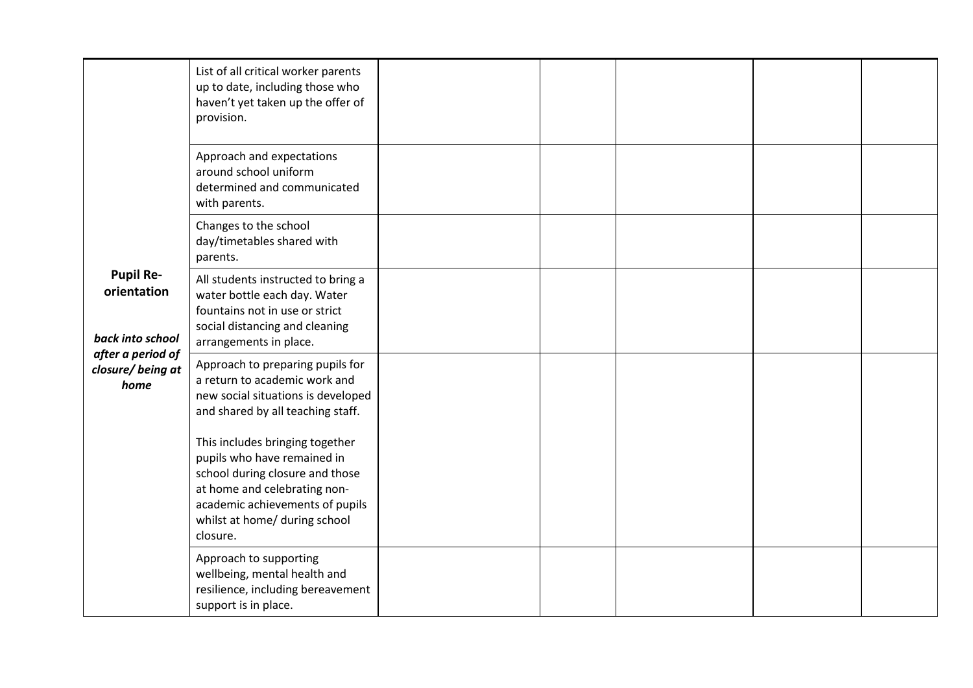<span id="page-16-0"></span>

|                                                                                                      | List of all critical worker parents<br>up to date, including those who<br>haven't yet taken up the offer of<br>provision.                                                                                         |  |  |  |
|------------------------------------------------------------------------------------------------------|-------------------------------------------------------------------------------------------------------------------------------------------------------------------------------------------------------------------|--|--|--|
|                                                                                                      | Approach and expectations<br>around school uniform<br>determined and communicated<br>with parents.                                                                                                                |  |  |  |
| <b>Pupil Re-</b><br>orientation<br>back into school<br>after a period of<br>closure/being at<br>home | Changes to the school<br>day/timetables shared with<br>parents.                                                                                                                                                   |  |  |  |
|                                                                                                      | All students instructed to bring a<br>water bottle each day. Water<br>fountains not in use or strict<br>social distancing and cleaning<br>arrangements in place.                                                  |  |  |  |
|                                                                                                      | Approach to preparing pupils for<br>a return to academic work and<br>new social situations is developed<br>and shared by all teaching staff.                                                                      |  |  |  |
|                                                                                                      | This includes bringing together<br>pupils who have remained in<br>school during closure and those<br>at home and celebrating non-<br>academic achievements of pupils<br>whilst at home/ during school<br>closure. |  |  |  |
|                                                                                                      | Approach to supporting<br>wellbeing, mental health and<br>resilience, including bereavement<br>support is in place.                                                                                               |  |  |  |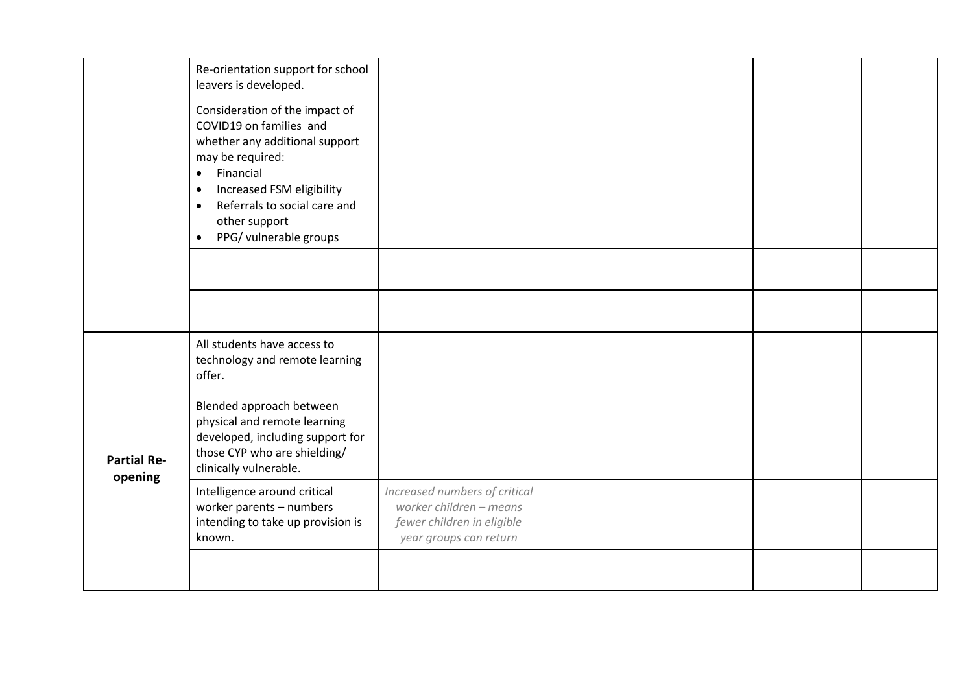<span id="page-17-0"></span>

|                               | Re-orientation support for school<br>leavers is developed.                                                                                                                                                                                                                               |                                                                                                                  |  |  |
|-------------------------------|------------------------------------------------------------------------------------------------------------------------------------------------------------------------------------------------------------------------------------------------------------------------------------------|------------------------------------------------------------------------------------------------------------------|--|--|
|                               | Consideration of the impact of<br>COVID19 on families and<br>whether any additional support<br>may be required:<br>Financial<br>$\bullet$<br>Increased FSM eligibility<br>$\bullet$<br>Referrals to social care and<br>$\bullet$<br>other support<br>PPG/ vulnerable groups<br>$\bullet$ |                                                                                                                  |  |  |
|                               |                                                                                                                                                                                                                                                                                          |                                                                                                                  |  |  |
|                               |                                                                                                                                                                                                                                                                                          |                                                                                                                  |  |  |
| <b>Partial Re-</b><br>opening | All students have access to<br>technology and remote learning<br>offer.                                                                                                                                                                                                                  |                                                                                                                  |  |  |
|                               | Blended approach between<br>physical and remote learning<br>developed, including support for<br>those CYP who are shielding/<br>clinically vulnerable.                                                                                                                                   |                                                                                                                  |  |  |
|                               | Intelligence around critical<br>worker parents - numbers<br>intending to take up provision is<br>known.                                                                                                                                                                                  | Increased numbers of critical<br>worker children - means<br>fewer children in eligible<br>year groups can return |  |  |
|                               |                                                                                                                                                                                                                                                                                          |                                                                                                                  |  |  |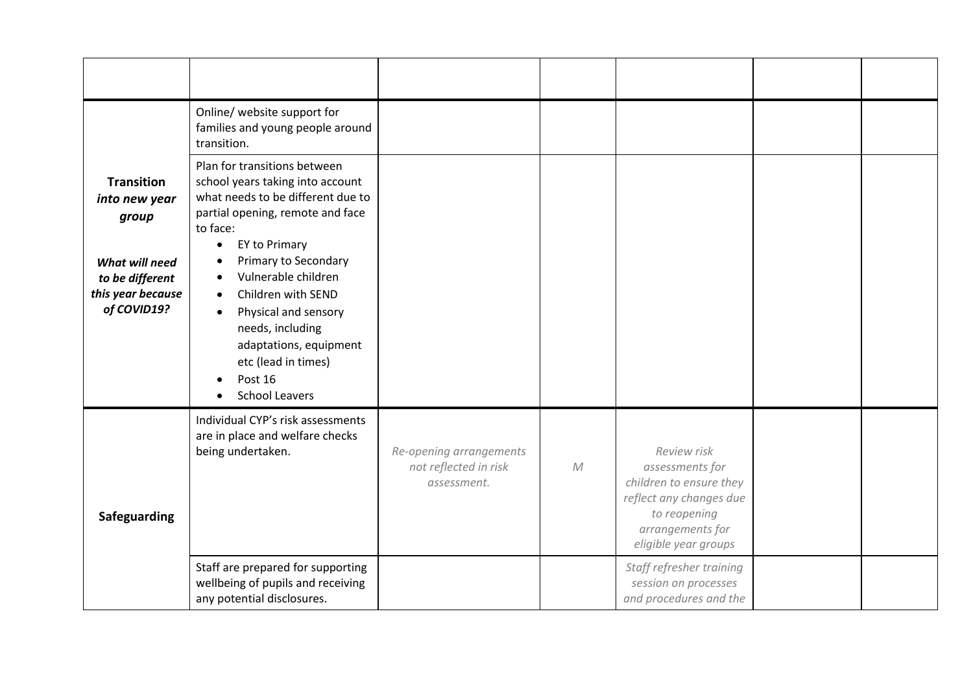<span id="page-18-1"></span><span id="page-18-0"></span>

|                                                                                                                      | Online/ website support for<br>families and young people around<br>transition.                                                                                                                                                                                                                                                                                                                                      |                                                                 |            |                                                                                                                                                  |  |
|----------------------------------------------------------------------------------------------------------------------|---------------------------------------------------------------------------------------------------------------------------------------------------------------------------------------------------------------------------------------------------------------------------------------------------------------------------------------------------------------------------------------------------------------------|-----------------------------------------------------------------|------------|--------------------------------------------------------------------------------------------------------------------------------------------------|--|
| <b>Transition</b><br>into new year<br>group<br>What will need<br>to be different<br>this year because<br>of COVID19? | Plan for transitions between<br>school years taking into account<br>what needs to be different due to<br>partial opening, remote and face<br>to face:<br>EY to Primary<br>$\bullet$<br>Primary to Secondary<br>Vulnerable children<br>Children with SEND<br>$\bullet$<br>Physical and sensory<br>$\bullet$<br>needs, including<br>adaptations, equipment<br>etc (lead in times)<br>Post 16<br><b>School Leavers</b> |                                                                 |            |                                                                                                                                                  |  |
| Safeguarding                                                                                                         | Individual CYP's risk assessments<br>are in place and welfare checks<br>being undertaken.                                                                                                                                                                                                                                                                                                                           | Re-opening arrangements<br>not reflected in risk<br>assessment. | ${\cal M}$ | Review risk<br>assessments for<br>children to ensure they<br>reflect any changes due<br>to reopening<br>arrangements for<br>eligible year groups |  |
|                                                                                                                      | Staff are prepared for supporting<br>wellbeing of pupils and receiving<br>any potential disclosures.                                                                                                                                                                                                                                                                                                                |                                                                 |            | Staff refresher training<br>session on processes<br>and procedures and the                                                                       |  |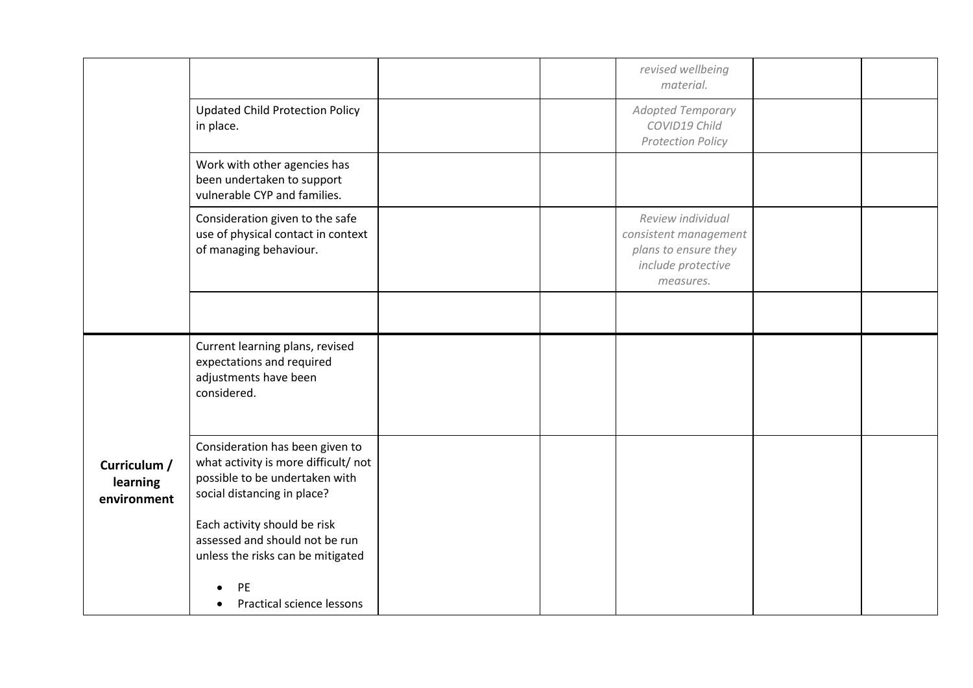<span id="page-19-0"></span>

|                                         |                                                                                                                                         |  | revised wellbeing<br>material.                                                                        |  |
|-----------------------------------------|-----------------------------------------------------------------------------------------------------------------------------------------|--|-------------------------------------------------------------------------------------------------------|--|
|                                         | <b>Updated Child Protection Policy</b><br>in place.                                                                                     |  | <b>Adopted Temporary</b><br>COVID19 Child<br><b>Protection Policy</b>                                 |  |
|                                         | Work with other agencies has<br>been undertaken to support<br>vulnerable CYP and families.                                              |  |                                                                                                       |  |
|                                         | Consideration given to the safe<br>use of physical contact in context<br>of managing behaviour.                                         |  | Review individual<br>consistent management<br>plans to ensure they<br>include protective<br>measures. |  |
|                                         |                                                                                                                                         |  |                                                                                                       |  |
|                                         | Current learning plans, revised<br>expectations and required<br>adjustments have been<br>considered.                                    |  |                                                                                                       |  |
| Curriculum /<br>learning<br>environment | Consideration has been given to<br>what activity is more difficult/not<br>possible to be undertaken with<br>social distancing in place? |  |                                                                                                       |  |
|                                         | Each activity should be risk<br>assessed and should not be run<br>unless the risks can be mitigated                                     |  |                                                                                                       |  |
|                                         | <b>PE</b><br>Practical science lessons                                                                                                  |  |                                                                                                       |  |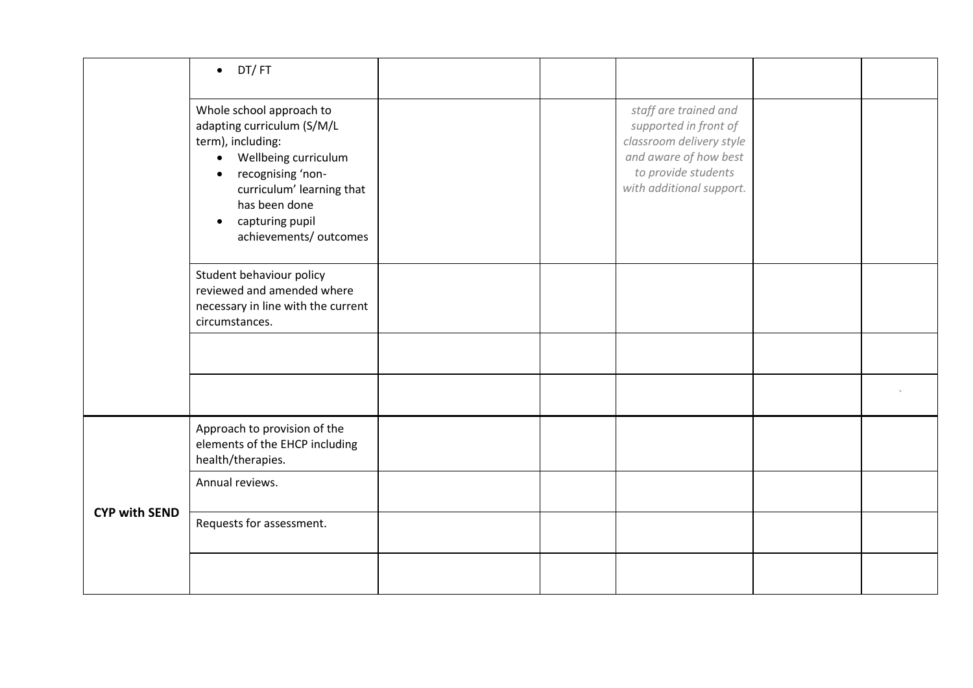<span id="page-20-0"></span>

|                      | DT/FT<br>$\bullet$                                                                                                                                                                                                                            |  |                                                                                                                                                        |  |
|----------------------|-----------------------------------------------------------------------------------------------------------------------------------------------------------------------------------------------------------------------------------------------|--|--------------------------------------------------------------------------------------------------------------------------------------------------------|--|
|                      | Whole school approach to<br>adapting curriculum (S/M/L<br>term), including:<br>Wellbeing curriculum<br>$\bullet$<br>recognising 'non-<br>curriculum' learning that<br>has been done<br>capturing pupil<br>$\bullet$<br>achievements/ outcomes |  | staff are trained and<br>supported in front of<br>classroom delivery style<br>and aware of how best<br>to provide students<br>with additional support. |  |
|                      | Student behaviour policy<br>reviewed and amended where<br>necessary in line with the current<br>circumstances.                                                                                                                                |  |                                                                                                                                                        |  |
|                      |                                                                                                                                                                                                                                               |  |                                                                                                                                                        |  |
|                      |                                                                                                                                                                                                                                               |  |                                                                                                                                                        |  |
| <b>CYP with SEND</b> | Approach to provision of the<br>elements of the EHCP including<br>health/therapies.                                                                                                                                                           |  |                                                                                                                                                        |  |
|                      | Annual reviews.                                                                                                                                                                                                                               |  |                                                                                                                                                        |  |
|                      | Requests for assessment.                                                                                                                                                                                                                      |  |                                                                                                                                                        |  |
|                      |                                                                                                                                                                                                                                               |  |                                                                                                                                                        |  |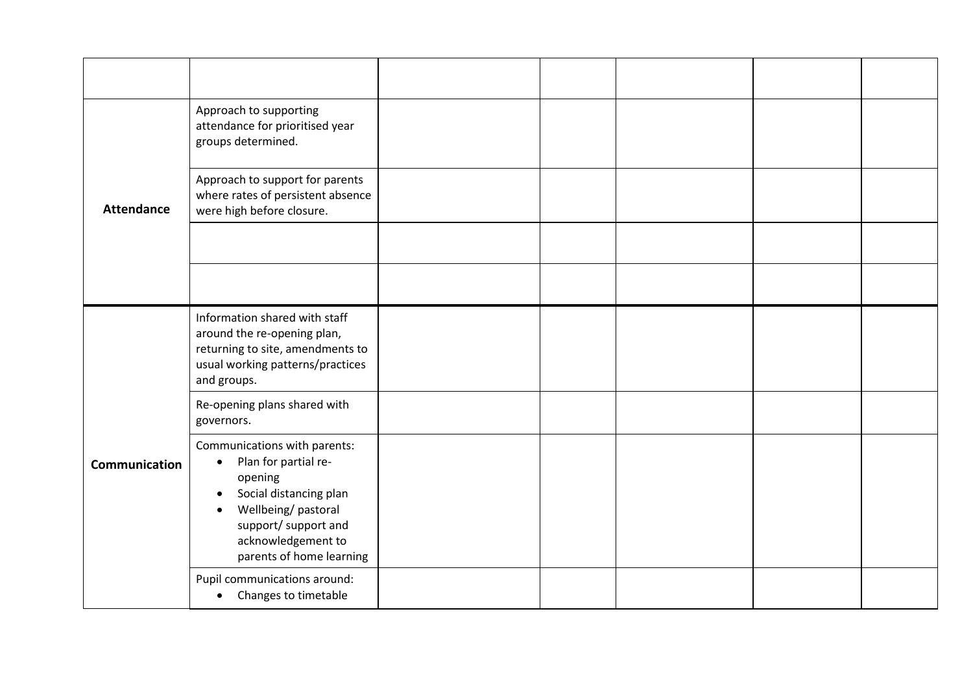<span id="page-21-1"></span><span id="page-21-0"></span>

|                      | Approach to supporting<br>attendance for prioritised year<br>groups determined.                                                                                                                                                  |  |  |  |
|----------------------|----------------------------------------------------------------------------------------------------------------------------------------------------------------------------------------------------------------------------------|--|--|--|
| <b>Attendance</b>    | Approach to support for parents<br>where rates of persistent absence<br>were high before closure.                                                                                                                                |  |  |  |
|                      |                                                                                                                                                                                                                                  |  |  |  |
|                      |                                                                                                                                                                                                                                  |  |  |  |
|                      | Information shared with staff<br>around the re-opening plan,<br>returning to site, amendments to<br>usual working patterns/practices<br>and groups.                                                                              |  |  |  |
|                      | Re-opening plans shared with<br>governors.                                                                                                                                                                                       |  |  |  |
| <b>Communication</b> | Communications with parents:<br>Plan for partial re-<br>$\bullet$<br>opening<br>Social distancing plan<br>$\bullet$<br>Wellbeing/pastoral<br>$\bullet$<br>support/ support and<br>acknowledgement to<br>parents of home learning |  |  |  |
|                      | Pupil communications around:<br>Changes to timetable<br>$\bullet$                                                                                                                                                                |  |  |  |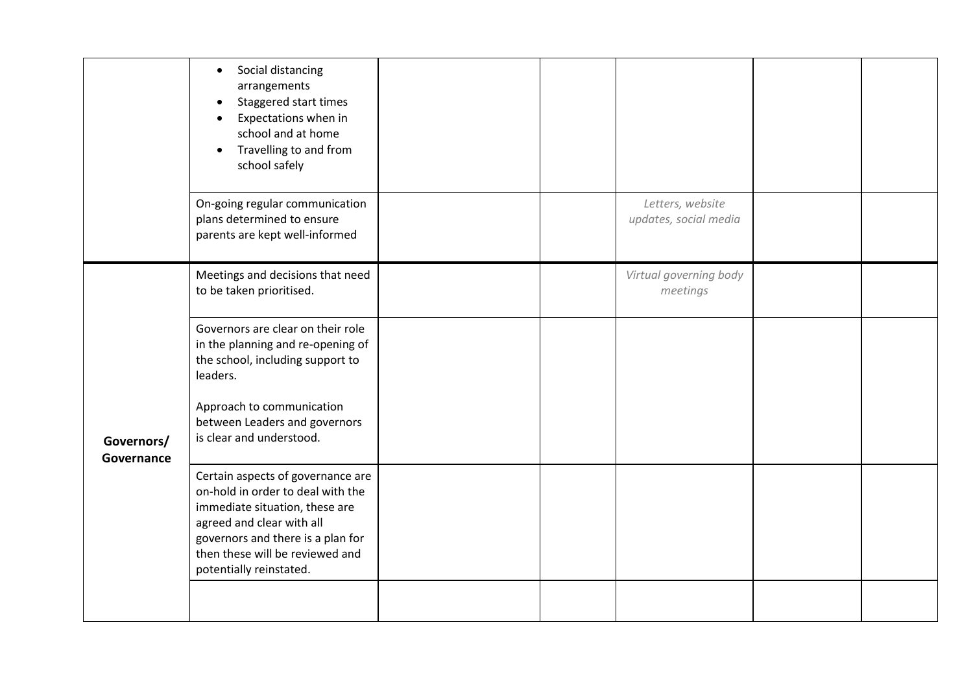<span id="page-22-0"></span>

|                          | Social distancing<br>$\bullet$<br>arrangements<br>Staggered start times<br>Expectations when in<br>school and at home<br>Travelling to and from<br>school safely                                                                         |  |                                           |  |
|--------------------------|------------------------------------------------------------------------------------------------------------------------------------------------------------------------------------------------------------------------------------------|--|-------------------------------------------|--|
|                          | On-going regular communication<br>plans determined to ensure<br>parents are kept well-informed                                                                                                                                           |  | Letters, website<br>updates, social media |  |
| Governors/<br>Governance | Meetings and decisions that need<br>to be taken prioritised.                                                                                                                                                                             |  | Virtual governing body<br>meetings        |  |
|                          | Governors are clear on their role<br>in the planning and re-opening of<br>the school, including support to<br>leaders.                                                                                                                   |  |                                           |  |
|                          | Approach to communication<br>between Leaders and governors<br>is clear and understood.                                                                                                                                                   |  |                                           |  |
|                          | Certain aspects of governance are<br>on-hold in order to deal with the<br>immediate situation, these are<br>agreed and clear with all<br>governors and there is a plan for<br>then these will be reviewed and<br>potentially reinstated. |  |                                           |  |
|                          |                                                                                                                                                                                                                                          |  |                                           |  |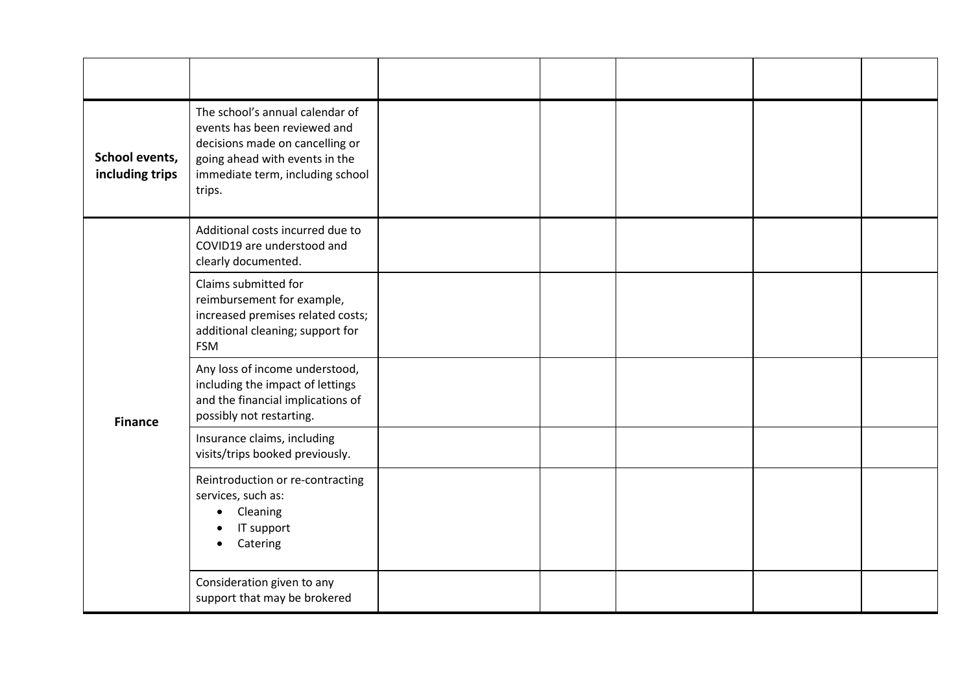<span id="page-23-1"></span><span id="page-23-0"></span>

| School events,<br>including trips | The school's annual calendar of<br>events has been reviewed and<br>decisions made on cancelling or<br>going ahead with events in the<br>immediate term, including school<br>trips. |  |  |  |
|-----------------------------------|------------------------------------------------------------------------------------------------------------------------------------------------------------------------------------|--|--|--|
| <b>Finance</b>                    | Additional costs incurred due to<br>COVID19 are understood and<br>clearly documented.                                                                                              |  |  |  |
|                                   | Claims submitted for<br>reimbursement for example,<br>increased premises related costs;<br>additional cleaning; support for<br><b>FSM</b>                                          |  |  |  |
|                                   | Any loss of income understood,<br>including the impact of lettings<br>and the financial implications of<br>possibly not restarting.                                                |  |  |  |
|                                   | Insurance claims, including<br>visits/trips booked previously.                                                                                                                     |  |  |  |
|                                   | Reintroduction or re-contracting<br>services, such as:<br>Cleaning<br>IT support<br>Catering                                                                                       |  |  |  |
|                                   | Consideration given to any<br>support that may be brokered                                                                                                                         |  |  |  |